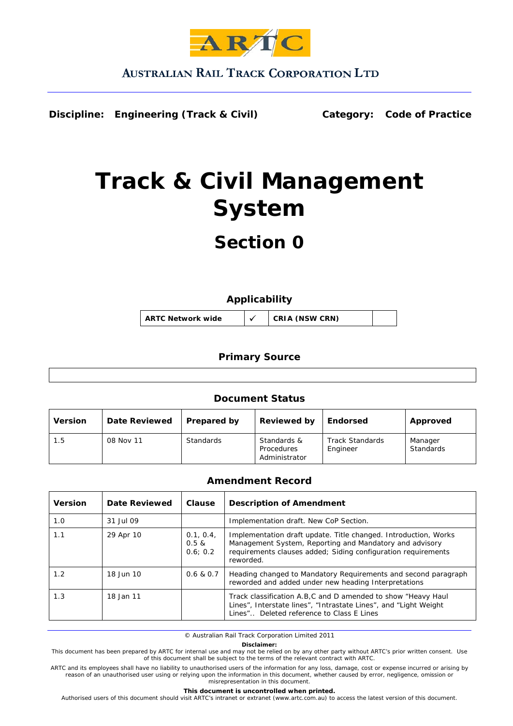

## **AUSTRALIAN RAIL TRACK CORPORATION LTD**

**Discipline: Engineering (Track & Civil) Category: Code of Practice**

# **Track & Civil Management System**

## **Section 0**

## **Applicability**

**ARTC Network wide** 9 **CRIA (NSW CRN)** 

## **Primary Source**

## **Document Status**

| <b>Version</b> | <b>Date Reviewed</b> | <b>Prepared by</b> | <b>Reviewed by</b>                         | <b>Endorsed</b>                    | Approved             |
|----------------|----------------------|--------------------|--------------------------------------------|------------------------------------|----------------------|
| 1.5            | 08 Nov 11            | Standards          | Standards &<br>Procedures<br>Administrator | <b>Track Standards</b><br>Engineer | Manager<br>Standards |

## **Amendment Record**

| <b>Version</b> | Date Reviewed | Clause                           | <b>Description of Amendment</b>                                                                                                                                                                          |
|----------------|---------------|----------------------------------|----------------------------------------------------------------------------------------------------------------------------------------------------------------------------------------------------------|
| 1.0            | 31 Jul 09     |                                  | Implementation draft. New CoP Section.                                                                                                                                                                   |
| 1.1            | 29 Apr 10     | 0.1, 0.4,<br>$0.5 \&$<br>0.6:0.2 | Implementation draft update. Title changed. Introduction, Works<br>Management System, Reporting and Mandatory and advisory<br>requirements clauses added; Siding configuration requirements<br>reworded. |
| 1.2            | 18 Jun 10     | 0.6 & 0.7                        | Heading changed to Mandatory Requirements and second paragraph<br>reworded and added under new heading Interpretations                                                                                   |
| 1.3            | 18 Jan 11     |                                  | Track classification A.B.C and D amended to show "Heavy Haul<br>Lines", Interstate lines", "Intrastate Lines", and "Light Weight"<br>Lines" Deleted reference to Class E Lines                           |

© Australian Rail Track Corporation Limited 2011

**Disclaimer:** 

This document has been prepared by ARTC for internal use and may not be relied on by any other party without ARTC's prior written consent. Use<br>of this document shall be subject to the terms of the relevant contract with AR

ARTC and its employees shall have no liability to unauthorised users of the information for any loss, damage, cost or expense incurred or arising by reason of an unauthorised user using or relying upon the information in this document, whether caused by error, negligence, omission or misrepresentation in this document.

#### **This document is uncontrolled when printed.**

Authorised users of this document should visit ARTC's intranet or extranet (www.artc.com.au) to access the latest version of this document.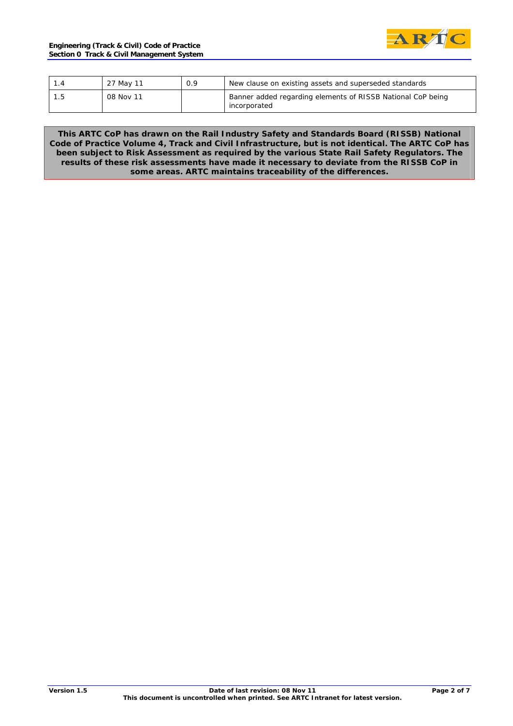

|     | 27 May 11 | 0.9 | New clause on existing assets and superseded standards                      |
|-----|-----------|-----|-----------------------------------------------------------------------------|
| 1.5 | 08 Nov 11 |     | Banner added regarding elements of RISSB National CoP being<br>incorporated |

**This ARTC CoP has drawn on the Rail Industry Safety and Standards Board (RISSB) National Code of Practice Volume 4, Track and Civil Infrastructure, but is not identical. The ARTC CoP has been subject to Risk Assessment as required by the various State Rail Safety Regulators. The results of these risk assessments have made it necessary to deviate from the RISSB CoP in some areas. ARTC maintains traceability of the differences.**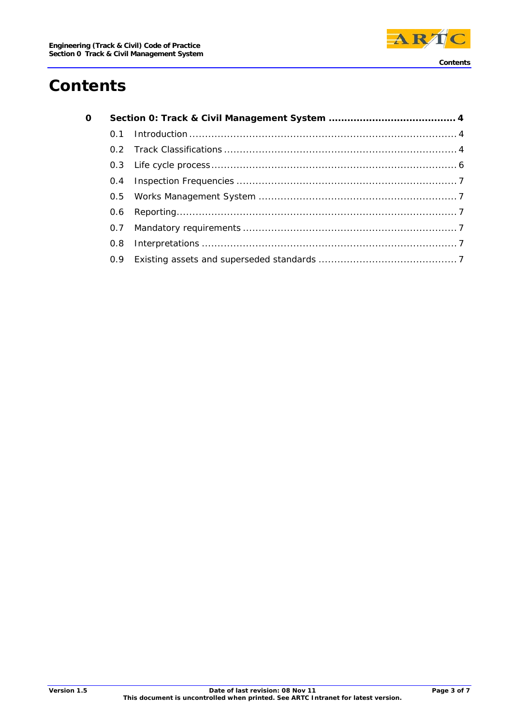

## **Contents**

| 0 |     |  |
|---|-----|--|
|   |     |  |
|   |     |  |
|   |     |  |
|   |     |  |
|   |     |  |
|   | 0.6 |  |
|   |     |  |
|   |     |  |
|   |     |  |
|   |     |  |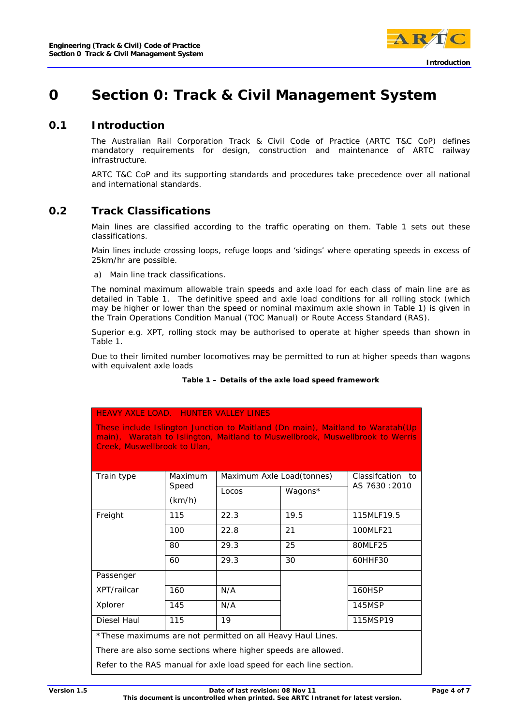

## **0 Section 0: Track & Civil Management System**

## **0.1 Introduction**

The Australian Rail Corporation Track & Civil Code of Practice (ARTC T&C CoP) defines mandatory requirements for design, construction and maintenance of ARTC railway infrastructure.

ARTC T&C CoP and its supporting standards and procedures take precedence over all national and international standards.

## **0.2 Track Classifications**

Main lines are classified according to the traffic operating on them. Table 1 sets out these classifications.

Main lines include crossing loops, refuge loops and 'sidings' where operating speeds in excess of 25km/hr are possible.

a) Main line track classifications.

The nominal maximum allowable train speeds and axle load for each class of main line are as detailed in Table 1. The definitive speed and axle load conditions for all rolling stock (which may be higher or lower than the speed or nominal maximum axle shown in Table 1) is given in the Train Operations Condition Manual (TOC Manual) or Route Access Standard (RAS).

Superior e.g. XPT, rolling stock may be authorised to operate at higher speeds than shown in Table 1.

Due to their limited number locomotives may be permitted to run at higher speeds than wagons with equivalent axle loads

#### **Table 1 – Details of the axle load speed framework**

#### HEAVY AXLE LOAD. HUNTER VALLEY LINES

These include Islington Junction to Maitland (Dn main), Maitland to Waratah(Up main), Waratah to Islington, Maitland to Muswellbrook, Muswellbrook to Werris Creek, Muswellbrook to Ulan,

| Train type                                                         | Maximum | Maximum Axle Load(tonnes) | Classification to |                |  |
|--------------------------------------------------------------------|---------|---------------------------|-------------------|----------------|--|
|                                                                    | Speed   | Locos                     | Wagons*           | AS 7630 : 2010 |  |
|                                                                    | (km/h)  |                           |                   |                |  |
| Freight                                                            | 115     | 22.3                      | 19.5              | 115MLF19.5     |  |
|                                                                    | 100     | 22.8                      | 21                | 100MLF21       |  |
|                                                                    | 80      | 29.3                      | 25                | 80MLF25        |  |
|                                                                    | 60      | 29.3                      | 30                | 60HHF30        |  |
| Passenger                                                          |         |                           |                   |                |  |
| XPT/railcar                                                        | 160     | N/A                       |                   | 160HSP         |  |
| Xplorer                                                            | 145     | N/A                       |                   | 145MSP         |  |
| Diesel Haul                                                        | 115     | 19                        |                   | 115MSP19       |  |
| *These maximums are not permitted on all Heavy Haul Lines.         |         |                           |                   |                |  |
| There are also some sections where higher speeds are allowed.      |         |                           |                   |                |  |
| Refer to the RAS manual for axle load speed for each line section. |         |                           |                   |                |  |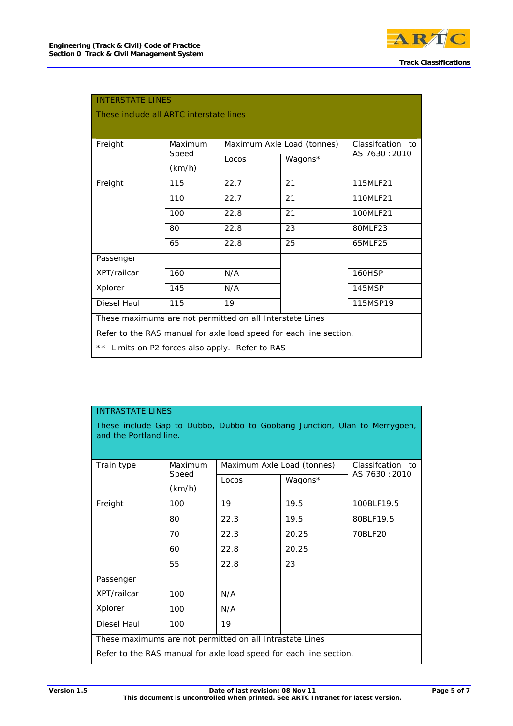

| <b>INTERSTATE LINES</b><br>These include all ARTC interstate lines                                                                                                                             |                 |                            |                   |               |  |  |
|------------------------------------------------------------------------------------------------------------------------------------------------------------------------------------------------|-----------------|----------------------------|-------------------|---------------|--|--|
| Freight                                                                                                                                                                                        | Maximum         | Maximum Axle Load (tonnes) | Classification to |               |  |  |
|                                                                                                                                                                                                | Speed<br>(km/h) | Locos                      | Wagons*           | AS 7630:2010  |  |  |
| Freight                                                                                                                                                                                        | 115             | 22.7                       | 21                | 115MLF21      |  |  |
|                                                                                                                                                                                                | 110             | 22.7                       | 21                | 110MLF21      |  |  |
|                                                                                                                                                                                                | 100             | 22.8                       | 21                | 100MLF21      |  |  |
|                                                                                                                                                                                                | 80              | 22.8                       | 23                | 80MLF23       |  |  |
|                                                                                                                                                                                                | 65              | 22.8                       | 25                | 65MLF25       |  |  |
| Passenger                                                                                                                                                                                      |                 |                            |                   |               |  |  |
| XPT/railcar                                                                                                                                                                                    | 160             | N/A                        |                   | <b>160HSP</b> |  |  |
| Xplorer                                                                                                                                                                                        | 145             | N/A                        |                   | 145MSP        |  |  |
| Diesel Haul                                                                                                                                                                                    | 115             | 19                         |                   | 115MSP19      |  |  |
| These maximums are not permitted on all Interstate Lines<br>Refer to the RAS manual for axle load speed for each line section.<br>$\star\star$<br>Limits on P2 forces also apply. Refer to RAS |                 |                            |                   |               |  |  |

| <b>INTRASTATE LINES</b>                                                                             |                 |                            |         |                      |  |  |  |
|-----------------------------------------------------------------------------------------------------|-----------------|----------------------------|---------|----------------------|--|--|--|
| These include Gap to Dubbo, Dubbo to Goobang Junction, Ulan to Merrygoen,<br>and the Portland line. |                 |                            |         |                      |  |  |  |
| Train type                                                                                          | Maximum         | Maximum Axle Load (tonnes) |         | Classification<br>to |  |  |  |
|                                                                                                     | Speed<br>(km/h) | Locos                      | Wagons* | AS 7630:2010         |  |  |  |
| Freight                                                                                             | 100             | 19                         | 19.5    | 100BLF19.5           |  |  |  |
|                                                                                                     | 80              | 22.3                       | 19.5    | 80BLF19.5            |  |  |  |
|                                                                                                     | 70              | 22.3                       | 20.25   | 70BLF20              |  |  |  |
|                                                                                                     | 60              | 22.8                       | 20.25   |                      |  |  |  |
|                                                                                                     | 55              | 22.8                       | 23      |                      |  |  |  |
| Passenger                                                                                           |                 |                            |         |                      |  |  |  |
| XPT/railcar                                                                                         | 100             | N/A                        |         |                      |  |  |  |
| Xplorer                                                                                             | 100             | N/A                        |         |                      |  |  |  |
| Diesel Haul                                                                                         | 100             | 19                         |         |                      |  |  |  |
| These maximums are not permitted on all Intrastate Lines                                            |                 |                            |         |                      |  |  |  |
| Refer to the RAS manual for axle load speed for each line section.                                  |                 |                            |         |                      |  |  |  |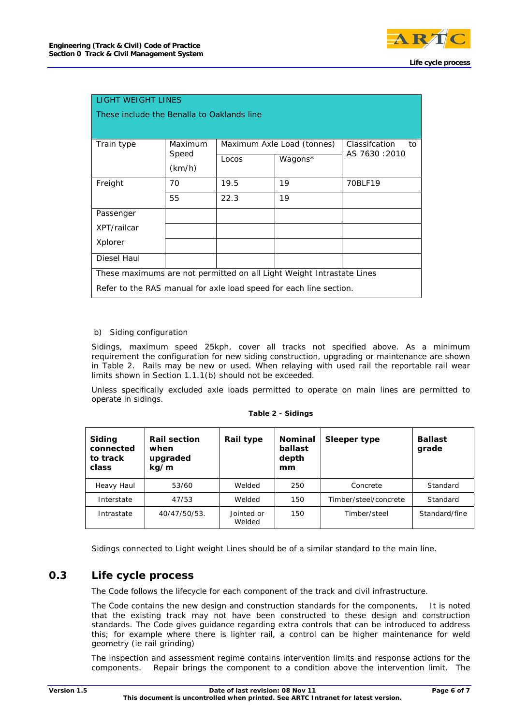

| <b>LIGHT WEIGHT LINES</b>                                             |                 |       |                            |                |  |  |  |  |
|-----------------------------------------------------------------------|-----------------|-------|----------------------------|----------------|--|--|--|--|
| These include the Benalla to Oaklands line                            |                 |       |                            |                |  |  |  |  |
|                                                                       |                 |       |                            |                |  |  |  |  |
| Train type                                                            | Maximum         |       | Maximum Axle Load (tonnes) |                |  |  |  |  |
|                                                                       | Speed<br>(km/h) | Locos | Wagons*                    | AS 7630 : 2010 |  |  |  |  |
| Freight                                                               | 70              | 19.5  | 19                         | 70BLF19        |  |  |  |  |
|                                                                       | 55              | 22.3  | 19                         |                |  |  |  |  |
| Passenger                                                             |                 |       |                            |                |  |  |  |  |
| XPT/railcar                                                           |                 |       |                            |                |  |  |  |  |
| Xplorer                                                               |                 |       |                            |                |  |  |  |  |
| Diesel Haul                                                           |                 |       |                            |                |  |  |  |  |
| These maximums are not permitted on all Light Weight Intrastate Lines |                 |       |                            |                |  |  |  |  |
| Refer to the RAS manual for axle load speed for each line section.    |                 |       |                            |                |  |  |  |  |

#### b) Siding configuration

Sidings, maximum speed 25kph, cover all tracks not specified above. As a minimum requirement the configuration for new siding construction, upgrading or maintenance are shown in Table 2. Rails may be new or used. When relaying with used rail the reportable rail wear limits shown in Section 1.1.1(b) should not be exceeded.

Unless specifically excluded axle loads permitted to operate on main lines are permitted to operate in sidings.

| Siding<br>connected<br>to track<br>class | <b>Rail section</b><br>when<br>upgraded<br>kg/m | Rail type            | <b>Nominal</b><br>ballast<br>depth<br>mm | Sleeper type          | <b>Ballast</b><br>grade |
|------------------------------------------|-------------------------------------------------|----------------------|------------------------------------------|-----------------------|-------------------------|
| Heavy Haul                               | 53/60                                           | Welded               | 250                                      | Concrete              | Standard                |
| Interstate                               | 47/53                                           | Welded               | 150                                      | Timber/steel/concrete | Standard                |
| Intrastate                               | 40/47/50/53.                                    | Jointed or<br>Welded | 150                                      | Timber/steel          | Standard/fine           |

**Table 2 - Sidings** 

Sidings connected to Light weight Lines should be of a similar standard to the main line.

## **0.3 Life cycle process**

The Code follows the lifecycle for each component of the track and civil infrastructure.

The Code contains the new design and construction standards for the components, It is noted that the existing track may not have been constructed to these design and construction standards. The Code gives guidance regarding extra controls that can be introduced to address this; for example where there is lighter rail, a control can be higher maintenance for weld geometry (ie rail grinding)

The inspection and assessment regime contains intervention limits and response actions for the components. Repair brings the component to a condition above the intervention limit. The